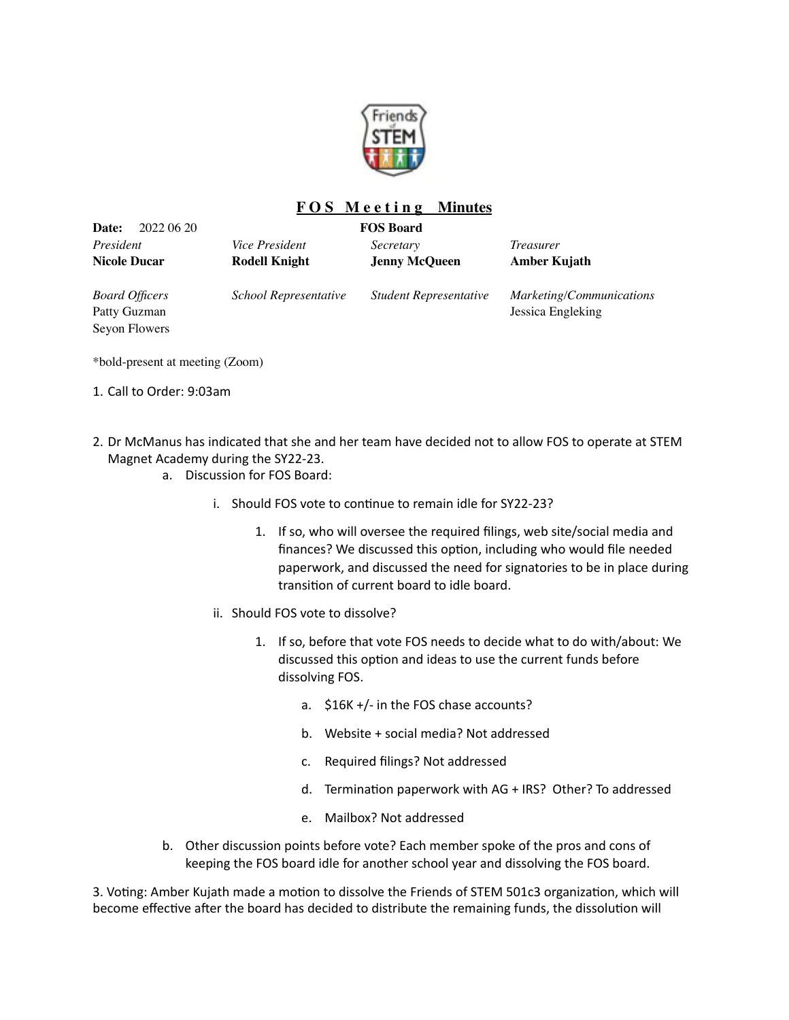

## **F O S M e e t i n g Minutes**

| <b>Date:</b><br>2022 06 20                             | <b>FOS Board</b>                              |                                   |                                               |
|--------------------------------------------------------|-----------------------------------------------|-----------------------------------|-----------------------------------------------|
| President<br>Nicole Ducar                              | <i>Vice President</i><br><b>Rodell Knight</b> | Secretary<br><b>Jenny McQueen</b> | <i>Treasurer</i><br>Amber Kujath              |
| <b>Board Officers</b><br>Patty Guzman<br>Seyon Flowers | School Representative                         | <b>Student Representative</b>     | Marketing/Communications<br>Jessica Engleking |

\*bold-present at meeting (Zoom)

- 1. Call to Order: 9:03am
- 2. Dr McManus has indicated that she and her team have decided not to allow FOS to operate at STEM Magnet Academy during the SY22-23.
	- a. Discussion for FOS Board:
		- i. Should FOS vote to continue to remain idle for SY22-23?
			- 1. If so, who will oversee the required filings, web site/social media and finances? We discussed this option, including who would file needed paperwork, and discussed the need for signatories to be in place during transition of current board to idle board.
		- ii. Should FOS vote to dissolve?
			- 1. If so, before that vote FOS needs to decide what to do with/about: We discussed this option and ideas to use the current funds before dissolving FOS.
				- a. \$16K +/- in the FOS chase accounts?
				- b. Website + social media? Not addressed
				- c. Required filings? Not addressed
				- d. Termination paperwork with AG + IRS? Other? To addressed
				- e. Mailbox? Not addressed
	- b. Other discussion points before vote? Each member spoke of the pros and cons of keeping the FOS board idle for another school year and dissolving the FOS board.

3. Voting: Amber Kujath made a motion to dissolve the Friends of STEM 501c3 organization, which will become effective after the board has decided to distribute the remaining funds, the dissolution will